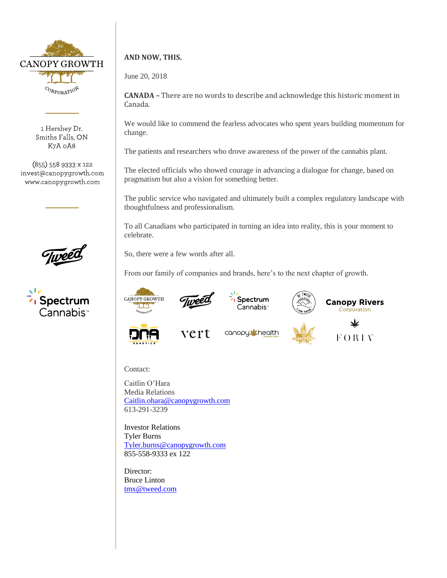

1 Hershey Dr. Smiths Falls, ON K7A 0A8

(855) 558 9333 x 122 invest@canopygrowth.com www.canopygrowth.com





## **AND NOW, THIS.**

June 20, 2018

**CANADA –** There are no words to describe and acknowledge this historic moment in Canada.

We would like to commend the fearless advocates who spent years building momentum for change.

The patients and researchers who drove awareness of the power of the cannabis plant.

The elected officials who showed courage in advancing a dialogue for change, based on pragmatism but also a vision for something better.

The public service who navigated and ultimately built a complex regulatory landscape with thoughtfulness and professionalism.

To all Canadians who participated in turning an idea into reality, this is your moment to celebrate.

So, there were a few words after all.

From our family of companies and brands, here's to the next chapter of growth.







**Canopy Rivers** Corporation







业 **FORIV** 

Contact:

Caitlin O'Hara Media Relations [Caitlin.ohara@canopygrowth.com](mailto:Caitlin.ohara@canopygrowth.com) 613-291-3239

Investor Relations Tyler Burns [Tyler.burns@canopygrowth.com](mailto:Tyler.burns@canopygrowth.com) 855-558-9333 ex 122

Director: Bruce Linton [tmx@tweed.com](mailto:tmx@tweed.com)